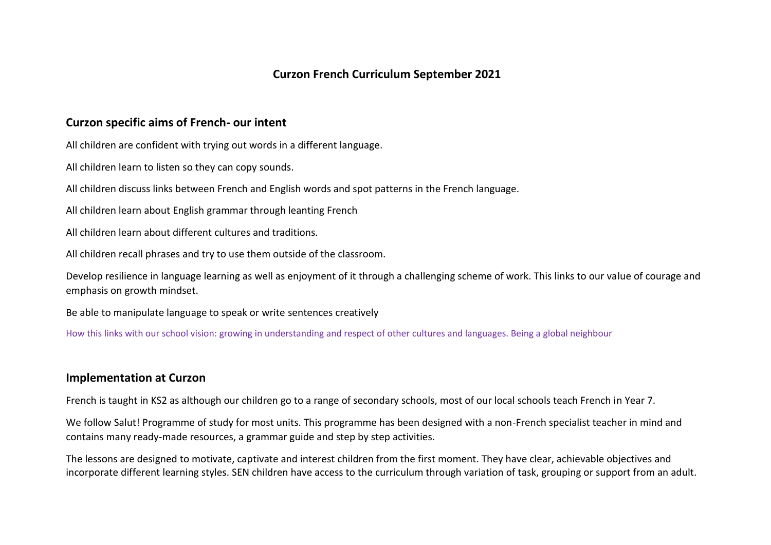# **Curzon French Curriculum September 2021**

### **Curzon specific aims of French- our intent**

All children are confident with trying out words in a different language.

All children learn to listen so they can copy sounds.

All children discuss links between French and English words and spot patterns in the French language.

All children learn about English grammar through leanting French

All children learn about different cultures and traditions.

All children recall phrases and try to use them outside of the classroom.

Develop resilience in language learning as well as enjoyment of it through a challenging scheme of work. This links to our value of courage and emphasis on growth mindset.

Be able to manipulate language to speak or write sentences creatively

How this links with our school vision: growing in understanding and respect of other cultures and languages. Being a global neighbour

#### **Implementation at Curzon**

French is taught in KS2 as although our children go to a range of secondary schools, most of our local schools teach French in Year 7.

We follow Salut! Programme of study for most units. This programme has been designed with a non-French specialist teacher in mind and contains many ready-made resources, a grammar guide and step by step activities.

The lessons are designed to motivate, captivate and interest children from the first moment. They have clear, achievable objectives and incorporate different learning styles. SEN children have access to the curriculum through variation of task, grouping or support from an adult.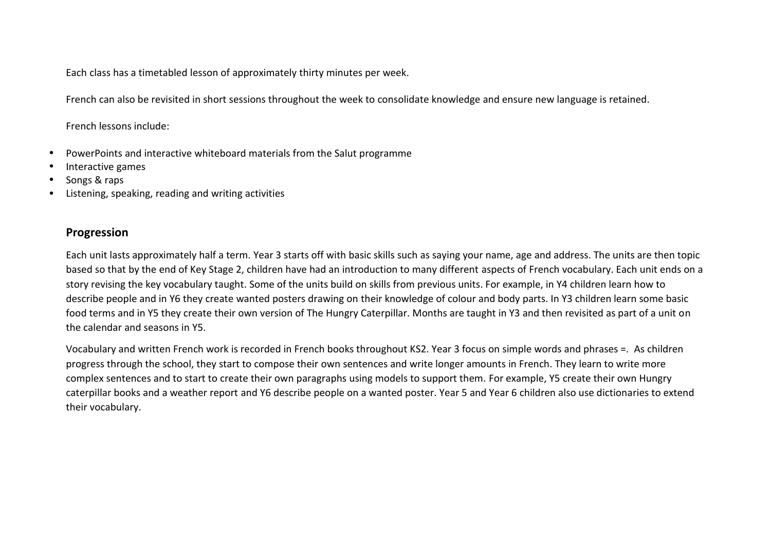Each class has a timetabled lesson of approximately thirty minutes per week.

French can also be revisited in short sessions throughout the week to consolidate knowledge and ensure new language is retained.

French lessons include:

- PowerPoints and interactive whiteboard materials from the Salut programme
- Interactive games
- Songs & raps
- Listening, speaking, reading and writing activities

## **Progression**

Each unit lasts approximately half a term. Year 3 starts off with basic skills such as saying your name, age and address. The units are then topic based so that by the end of Key Stage 2, children have had an introduction to many different aspects of French vocabulary. Each unit ends on a story revising the key vocabulary taught. Some of the units build on skills from previous units. For example, in Y4 children learn how to describe people and in Y6 they create wanted posters drawing on their knowledge of colour and body parts. In Y3 children learn some basic food terms and in Y5 they create their own version of The Hungry Caterpillar. Months are taught in Y3 and then revisited as part of a unit on the calendar and seasons in Y5.

Vocabulary and written French work is recorded in French books throughout KS2. Year 3 focus on simple words and phrases =. As children progress through the school, they start to compose their own sentences and write longer amounts in French. They learn to write more complex sentences and to start to create their own paragraphs using models to support them. For example, Y5 create their own Hungry caterpillar books and a weather report and Y6 describe people on a wanted poster. Year 5 and Year 6 children also use dictionaries to extend their vocabulary.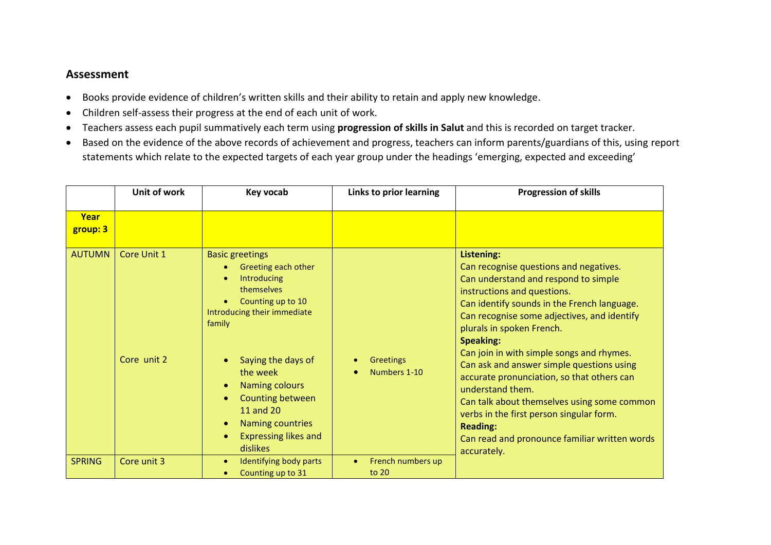### **Assessment**

- Books provide evidence of children's written skills and their ability to retain and apply new knowledge.
- Children self-assess their progress at the end of each unit of work.
- Teachers assess each pupil summatively each term using **progression of skills in Salut** and this is recorded on target tracker.
- Based on the evidence of the above records of achievement and progress, teachers can inform parents/guardians of this, using report statements which relate to the expected targets of each year group under the headings 'emerging, expected and exceeding'

|                  | Unit of work               | Key vocab                                                                                                                                                                                                                                                                                                  | Links to prior learning          | <b>Progression of skills</b>                                                                                                                                                                                                                                                                                                                                                                                                                                                                                                                                                                                         |
|------------------|----------------------------|------------------------------------------------------------------------------------------------------------------------------------------------------------------------------------------------------------------------------------------------------------------------------------------------------------|----------------------------------|----------------------------------------------------------------------------------------------------------------------------------------------------------------------------------------------------------------------------------------------------------------------------------------------------------------------------------------------------------------------------------------------------------------------------------------------------------------------------------------------------------------------------------------------------------------------------------------------------------------------|
| Year<br>group: 3 |                            |                                                                                                                                                                                                                                                                                                            |                                  |                                                                                                                                                                                                                                                                                                                                                                                                                                                                                                                                                                                                                      |
| <b>AUTUMN</b>    | Core Unit 1<br>Core unit 2 | <b>Basic greetings</b><br>Greeting each other<br>Introducing<br>themselves<br>Counting up to 10<br>Introducing their immediate<br>family<br>Saying the days of<br>the week<br><b>Naming colours</b><br>Counting between<br>11 and 20<br><b>Naming countries</b><br><b>Expressing likes and</b><br>dislikes | <b>Greetings</b><br>Numbers 1-10 | Listening:<br>Can recognise questions and negatives.<br>Can understand and respond to simple<br>instructions and questions.<br>Can identify sounds in the French language.<br>Can recognise some adjectives, and identify<br>plurals in spoken French.<br><b>Speaking:</b><br>Can join in with simple songs and rhymes.<br>Can ask and answer simple questions using<br>accurate pronunciation, so that others can<br>understand them.<br>Can talk about themselves using some common<br>verbs in the first person singular form.<br><b>Reading:</b><br>Can read and pronounce familiar written words<br>accurately. |
| <b>SPRING</b>    | Core unit 3                | Identifying body parts<br>Counting up to 31                                                                                                                                                                                                                                                                | French numbers up<br>to 20       |                                                                                                                                                                                                                                                                                                                                                                                                                                                                                                                                                                                                                      |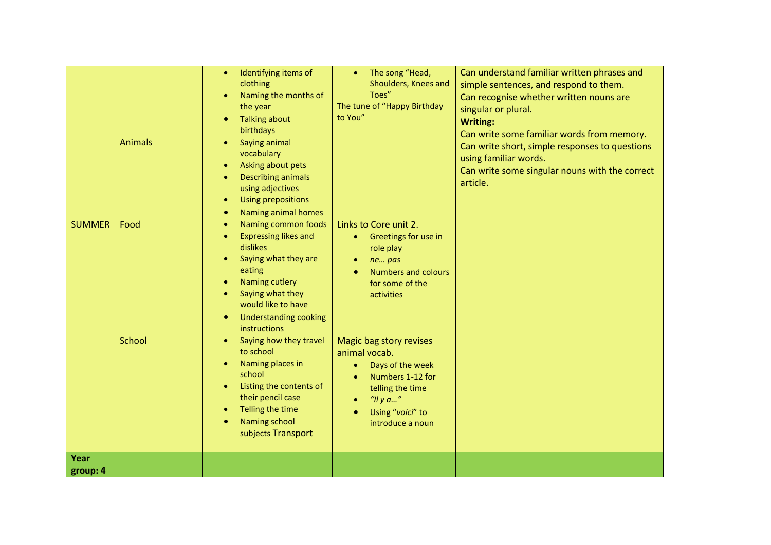|                  | <b>Animals</b> | Identifying items of<br>$\bullet$<br>clothing<br>Naming the months of<br>the year<br><b>Talking about</b><br>birthdays<br>Saying animal<br>$\bullet$<br>vocabulary<br>Asking about pets<br>$\bullet$<br><b>Describing animals</b><br>using adjectives<br><b>Using prepositions</b><br>$\bullet$<br>Naming animal homes<br>$\bullet$ | The song "Head,<br>$\bullet$<br>Shoulders, Knees and<br>Toes"<br>The tune of "Happy Birthday<br>to You"                                                                  | Can understand familiar written phrases and<br>simple sentences, and respond to them.<br>Can recognise whether written nouns are<br>singular or plural.<br><b>Writing:</b><br>Can write some familiar words from memory.<br>Can write short, simple responses to questions<br>using familiar words.<br>Can write some singular nouns with the correct<br>article. |
|------------------|----------------|-------------------------------------------------------------------------------------------------------------------------------------------------------------------------------------------------------------------------------------------------------------------------------------------------------------------------------------|--------------------------------------------------------------------------------------------------------------------------------------------------------------------------|-------------------------------------------------------------------------------------------------------------------------------------------------------------------------------------------------------------------------------------------------------------------------------------------------------------------------------------------------------------------|
| <b>SUMMER</b>    | Food           | Naming common foods<br>$\bullet$<br><b>Expressing likes and</b><br>dislikes<br>Saying what they are<br>$\bullet$<br>eating<br>Naming cutlery<br>$\bullet$<br>Saying what they<br>would like to have<br><b>Understanding cooking</b><br>instructions                                                                                 | Links to Core unit 2.<br>Greetings for use in<br>$\bullet$<br>role play<br>ne pas<br><b>Numbers and colours</b><br>for some of the<br>activities                         |                                                                                                                                                                                                                                                                                                                                                                   |
|                  | School         | Saying how they travel<br>to school<br>Naming places in<br>school<br>Listing the contents of<br>$\bullet$<br>their pencil case<br>Telling the time<br>Naming school<br>subjects Transport                                                                                                                                           | Magic bag story revises<br>animal vocab.<br>Days of the week<br>$\bullet$<br>Numbers 1-12 for<br>telling the time<br>"Il y $a$ "<br>Using "voici" to<br>introduce a noun |                                                                                                                                                                                                                                                                                                                                                                   |
| Year<br>group: 4 |                |                                                                                                                                                                                                                                                                                                                                     |                                                                                                                                                                          |                                                                                                                                                                                                                                                                                                                                                                   |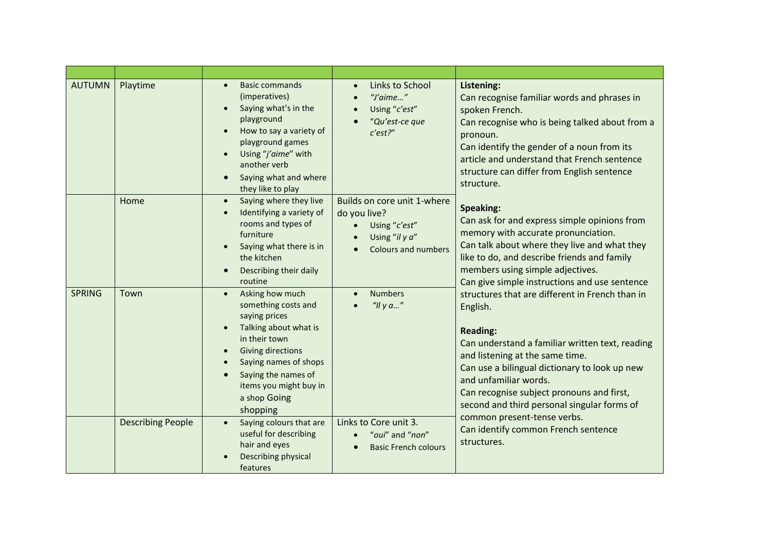| <b>AUTUMN</b> | Playtime                 | <b>Basic commands</b><br>$\bullet$<br>(imperatives)<br>Saying what's in the<br>playground<br>How to say a variety of<br>playground games<br>Using "j'aime" with<br>another verb<br>Saying what and where<br>they like to play                    | Links to School<br>$\bullet$<br>"J'aime"<br>Using "c'est"<br>"Qu'est-ce que<br>c'est?                                     | Listening:<br>Can recognise familiar words and phrases in<br>spoken French.<br>Can recognise who is being talked about from a<br>pronoun.<br>Can identify the gender of a noun from its<br>article and understand that French sentence<br>structure can differ from English sentence<br>structure.                                                                                                                              |
|---------------|--------------------------|--------------------------------------------------------------------------------------------------------------------------------------------------------------------------------------------------------------------------------------------------|---------------------------------------------------------------------------------------------------------------------------|---------------------------------------------------------------------------------------------------------------------------------------------------------------------------------------------------------------------------------------------------------------------------------------------------------------------------------------------------------------------------------------------------------------------------------|
|               | Home                     | Saying where they live<br>$\bullet$<br>Identifying a variety of<br>rooms and types of<br>furniture<br>Saying what there is in<br>the kitchen<br>Describing their daily<br>routine                                                                | Builds on core unit 1-where<br>do you live?<br>Using "c'est"<br>$\bullet$<br>Using "il y a"<br><b>Colours and numbers</b> | Speaking:<br>Can ask for and express simple opinions from<br>memory with accurate pronunciation.<br>Can talk about where they live and what they<br>like to do, and describe friends and family<br>members using simple adjectives.<br>Can give simple instructions and use sentence                                                                                                                                            |
| <b>SPRING</b> | Town                     | Asking how much<br>$\bullet$<br>something costs and<br>saying prices<br>Talking about what is<br>in their town<br><b>Giving directions</b><br>Saying names of shops<br>Saying the names of<br>items you might buy in<br>a shop Going<br>shopping | <b>Numbers</b><br>"Il y a"                                                                                                | structures that are different in French than in<br>English.<br><b>Reading:</b><br>Can understand a familiar written text, reading<br>and listening at the same time.<br>Can use a bilingual dictionary to look up new<br>and unfamiliar words.<br>Can recognise subject pronouns and first,<br>second and third personal singular forms of<br>common present-tense verbs.<br>Can identify common French sentence<br>structures. |
|               | <b>Describing People</b> | Saying colours that are<br>$\bullet$<br>useful for describing<br>hair and eyes<br>Describing physical<br>features                                                                                                                                | Links to Core unit 3.<br>"oui" and "non"<br><b>Basic French colours</b>                                                   |                                                                                                                                                                                                                                                                                                                                                                                                                                 |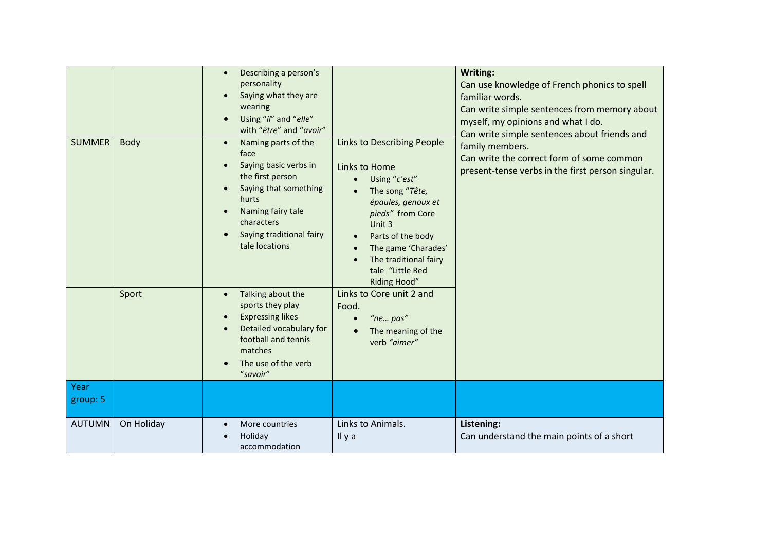| <b>SUMMER</b><br>Year | Body<br>Sport | Describing a person's<br>$\bullet$<br>personality<br>Saying what they are<br>wearing<br>Using "il" and "elle"<br>with "être" and "avoir"<br>Naming parts of the<br>face<br>Saying basic verbs in<br>the first person<br>Saying that something<br>hurts<br>Naming fairy tale<br>characters<br>Saying traditional fairy<br>tale locations<br>Talking about the<br>$\bullet$<br>sports they play<br><b>Expressing likes</b><br>Detailed vocabulary for<br>football and tennis<br>matches<br>The use of the verb<br>"savoir" | <b>Links to Describing People</b><br>Links to Home<br>Using "c'est"<br>The song "Tête,<br>épaules, genoux et<br>pieds" from Core<br>Unit 3<br>Parts of the body<br>The game 'Charades'<br>The traditional fairy<br>tale "Little Red<br>Riding Hood"<br>Links to Core unit 2 and<br>Food.<br>"ne pas"<br>The meaning of the<br>verb "aimer" | Writing:<br>Can use knowledge of French phonics to spell<br>familiar words.<br>Can write simple sentences from memory about<br>myself, my opinions and what I do.<br>Can write simple sentences about friends and<br>family members.<br>Can write the correct form of some common<br>present-tense verbs in the first person singular. |
|-----------------------|---------------|--------------------------------------------------------------------------------------------------------------------------------------------------------------------------------------------------------------------------------------------------------------------------------------------------------------------------------------------------------------------------------------------------------------------------------------------------------------------------------------------------------------------------|--------------------------------------------------------------------------------------------------------------------------------------------------------------------------------------------------------------------------------------------------------------------------------------------------------------------------------------------|----------------------------------------------------------------------------------------------------------------------------------------------------------------------------------------------------------------------------------------------------------------------------------------------------------------------------------------|
| group: 5              |               |                                                                                                                                                                                                                                                                                                                                                                                                                                                                                                                          |                                                                                                                                                                                                                                                                                                                                            |                                                                                                                                                                                                                                                                                                                                        |
| <b>AUTUMN</b>         | On Holiday    | More countries<br>Holiday<br>accommodation                                                                                                                                                                                                                                                                                                                                                                                                                                                                               | Links to Animals.<br>Il y a                                                                                                                                                                                                                                                                                                                | Listening:<br>Can understand the main points of a short                                                                                                                                                                                                                                                                                |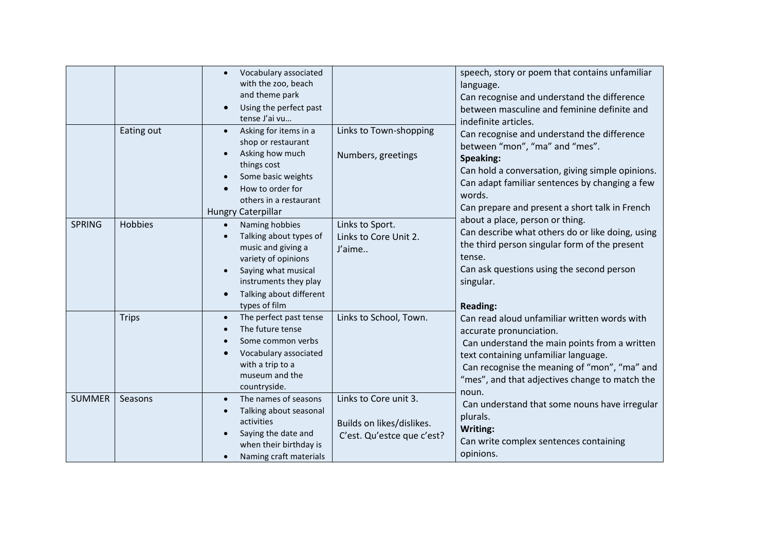|               | Eating out     | Vocabulary associated<br>with the zoo, beach<br>and theme park<br>Using the perfect past<br>tense J'ai vu<br>Asking for items in a<br>$\bullet$<br>shop or restaurant<br>Asking how much<br>things cost<br>Some basic weights<br>How to order for<br>others in a restaurant | Links to Town-shopping<br>Numbers, greetings                                     | speech, story or poem that contains unfamiliar<br>language.<br>Can recognise and understand the difference<br>between masculine and feminine definite and<br>indefinite articles.<br>Can recognise and understand the difference<br>between "mon", "ma" and "mes".<br>Speaking:<br>Can hold a conversation, giving simple opinions.<br>Can adapt familiar sentences by changing a few<br>words.<br>Can prepare and present a short talk in French                                                                                                                                                                                          |
|---------------|----------------|-----------------------------------------------------------------------------------------------------------------------------------------------------------------------------------------------------------------------------------------------------------------------------|----------------------------------------------------------------------------------|--------------------------------------------------------------------------------------------------------------------------------------------------------------------------------------------------------------------------------------------------------------------------------------------------------------------------------------------------------------------------------------------------------------------------------------------------------------------------------------------------------------------------------------------------------------------------------------------------------------------------------------------|
| <b>SPRING</b> | <b>Hobbies</b> | <b>Hungry Caterpillar</b><br>Naming hobbies<br>$\bullet$<br>Talking about types of<br>music and giving a<br>variety of opinions<br>Saying what musical<br>instruments they play<br>Talking about different<br>types of film                                                 | Links to Sport.<br>Links to Core Unit 2.<br>J'aime                               | about a place, person or thing.<br>Can describe what others do or like doing, using<br>the third person singular form of the present<br>tense.<br>Can ask questions using the second person<br>singular.<br><b>Reading:</b><br>Can read aloud unfamiliar written words with<br>accurate pronunciation.<br>Can understand the main points from a written<br>text containing unfamiliar language.<br>Can recognise the meaning of "mon", "ma" and<br>"mes", and that adjectives change to match the<br>noun.<br>Can understand that some nouns have irregular<br>plurals.<br>Writing:<br>Can write complex sentences containing<br>opinions. |
|               | <b>Trips</b>   | The perfect past tense<br>$\bullet$<br>The future tense<br>Some common verbs<br>Vocabulary associated<br>with a trip to a<br>museum and the<br>countryside.                                                                                                                 | Links to School, Town.                                                           |                                                                                                                                                                                                                                                                                                                                                                                                                                                                                                                                                                                                                                            |
| <b>SUMMER</b> | Seasons        | The names of seasons<br>$\bullet$<br>Talking about seasonal<br>activities<br>Saying the date and<br>when their birthday is<br>Naming craft materials                                                                                                                        | Links to Core unit 3.<br>Builds on likes/dislikes.<br>C'est. Qu'estce que c'est? |                                                                                                                                                                                                                                                                                                                                                                                                                                                                                                                                                                                                                                            |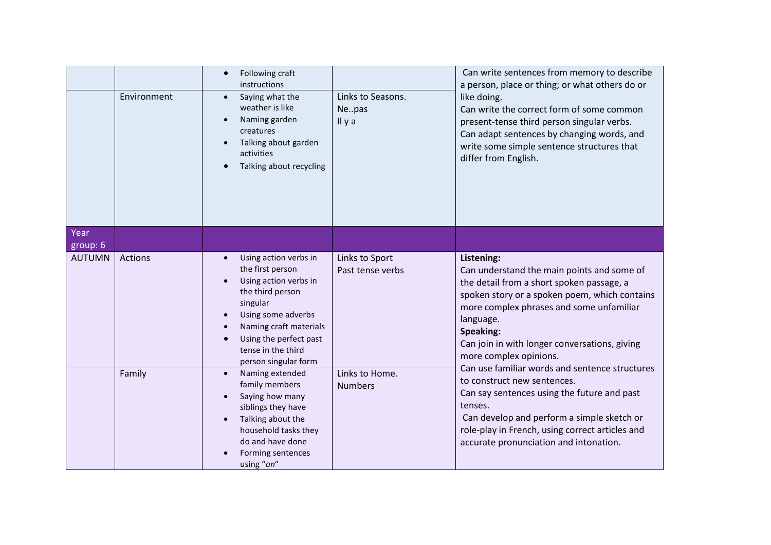|                  | Environment | Following craft<br>$\bullet$<br>instructions<br>Saying what the<br>$\bullet$<br>weather is like<br>Naming garden<br>creatures<br>Talking about garden<br>activities<br>Talking about recycling                             | Links to Seasons.<br>Nepas<br>Il y a | Can write sentences from memory to describe<br>a person, place or thing; or what others do or<br>like doing.<br>Can write the correct form of some common<br>present-tense third person singular verbs.<br>Can adapt sentences by changing words, and<br>write some simple sentence structures that<br>differ from English. |
|------------------|-------------|----------------------------------------------------------------------------------------------------------------------------------------------------------------------------------------------------------------------------|--------------------------------------|-----------------------------------------------------------------------------------------------------------------------------------------------------------------------------------------------------------------------------------------------------------------------------------------------------------------------------|
| Year<br>group: 6 |             |                                                                                                                                                                                                                            |                                      |                                                                                                                                                                                                                                                                                                                             |
| <b>AUTUMN</b>    | Actions     | Using action verbs in<br>the first person<br>Using action verbs in<br>the third person<br>singular<br>Using some adverbs<br>Naming craft materials<br>Using the perfect past<br>tense in the third<br>person singular form | Links to Sport<br>Past tense verbs   | Listening:<br>Can understand the main points and some of<br>the detail from a short spoken passage, a<br>spoken story or a spoken poem, which contains<br>more complex phrases and some unfamiliar<br>language.<br>Speaking:<br>Can join in with longer conversations, giving<br>more complex opinions.                     |
|                  | Family      | Naming extended<br>$\bullet$<br>family members<br>Saying how many<br>siblings they have<br>Talking about the<br>household tasks they<br>do and have done<br>Forming sentences<br>using "on"                                | Links to Home.<br><b>Numbers</b>     | Can use familiar words and sentence structures<br>to construct new sentences.<br>Can say sentences using the future and past<br>tenses.<br>Can develop and perform a simple sketch or<br>role-play in French, using correct articles and<br>accurate pronunciation and intonation.                                          |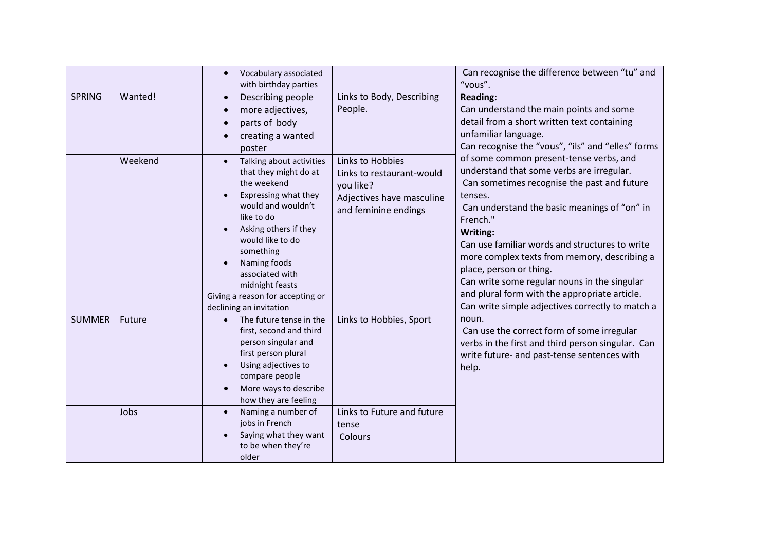|               |         | Vocabulary associated<br>with birthday parties                                                                                                                                                                                                                                                              |                                                                                                                 | Can recognise the difference between "tu" and<br>"vous".                                                                                                                                                                                                                                                                                                                                                                                                                                                 |
|---------------|---------|-------------------------------------------------------------------------------------------------------------------------------------------------------------------------------------------------------------------------------------------------------------------------------------------------------------|-----------------------------------------------------------------------------------------------------------------|----------------------------------------------------------------------------------------------------------------------------------------------------------------------------------------------------------------------------------------------------------------------------------------------------------------------------------------------------------------------------------------------------------------------------------------------------------------------------------------------------------|
| <b>SPRING</b> | Wanted! | Describing people<br>more adjectives,<br>parts of body<br>creating a wanted<br>poster                                                                                                                                                                                                                       | Links to Body, Describing<br>People.                                                                            | <b>Reading:</b><br>Can understand the main points and some<br>detail from a short written text containing<br>unfamiliar language.<br>Can recognise the "vous", "ils" and "elles" forms                                                                                                                                                                                                                                                                                                                   |
|               | Weekend | Talking about activities<br>that they might do at<br>the weekend<br>Expressing what they<br>would and wouldn't<br>like to do<br>Asking others if they<br>would like to do<br>something<br>Naming foods<br>associated with<br>midnight feasts<br>Giving a reason for accepting or<br>declining an invitation | Links to Hobbies<br>Links to restaurant-would<br>you like?<br>Adjectives have masculine<br>and feminine endings | of some common present-tense verbs, and<br>understand that some verbs are irregular.<br>Can sometimes recognise the past and future<br>tenses.<br>Can understand the basic meanings of "on" in<br>French."<br>Writing:<br>Can use familiar words and structures to write<br>more complex texts from memory, describing a<br>place, person or thing.<br>Can write some regular nouns in the singular<br>and plural form with the appropriate article.<br>Can write simple adjectives correctly to match a |
| <b>SUMMER</b> | Future  | The future tense in the<br>$\bullet$<br>first, second and third<br>person singular and<br>first person plural<br>Using adjectives to<br>compare people<br>More ways to describe<br>how they are feeling                                                                                                     | Links to Hobbies, Sport                                                                                         | noun.<br>Can use the correct form of some irregular<br>verbs in the first and third person singular. Can<br>write future- and past-tense sentences with<br>help.                                                                                                                                                                                                                                                                                                                                         |
|               | Jobs    | Naming a number of<br>jobs in French<br>Saying what they want<br>to be when they're<br>older                                                                                                                                                                                                                | Links to Future and future<br>tense<br>Colours                                                                  |                                                                                                                                                                                                                                                                                                                                                                                                                                                                                                          |